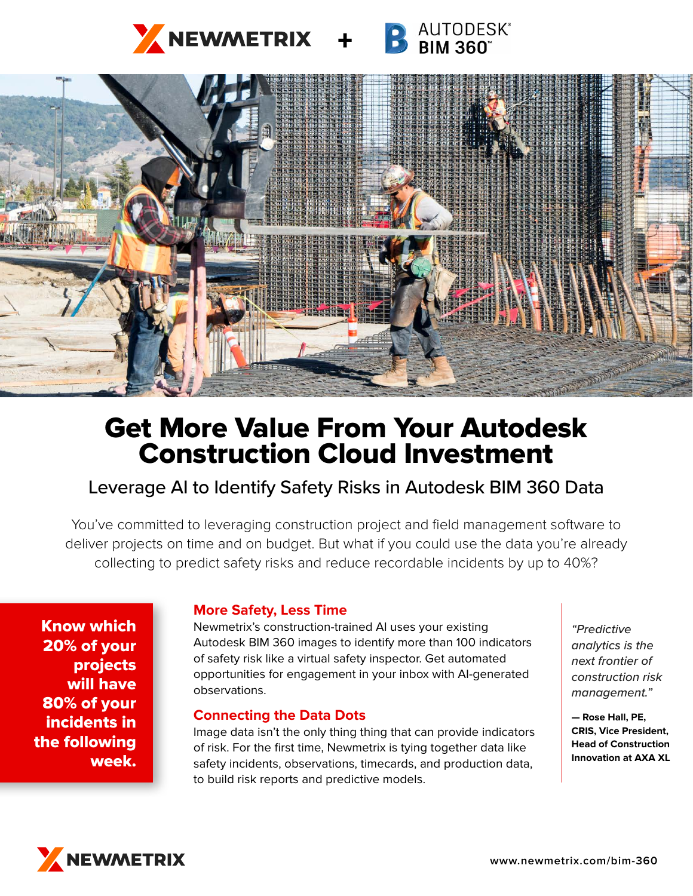



# Get More Value From Your Autodesk Construction Cloud Investment

# Leverage AI to Identify Safety Risks in Autodesk BIM 360 Data

You've committed to leveraging construction project and field management software to deliver projects on time and on budget. But what if you could use the data you're already collecting to predict safety risks and reduce recordable incidents by up to 40%?

Know which 20% of your projects will have 80% of your incidents in the following week.

## **More Safety, Less Time**

Newmetrix's construction-trained AI uses your existing Autodesk BIM 360 images to identify more than 100 indicators of safety risk like a virtual safety inspector. Get automated opportunities for engagement in your inbox with AI-generated observations.

#### **Connecting the Data Dots**

Image data isn't the only thing thing that can provide indicators of risk. For the first time, Newmetrix is tying together data like safety incidents, observations, timecards, and production data, to build risk reports and predictive models.

*"Predictive analytics is the next frontier of construction risk management."*

**— Rose Hall, PE, CRIS, Vice President, Head of Construction Innovation at AXA XL**